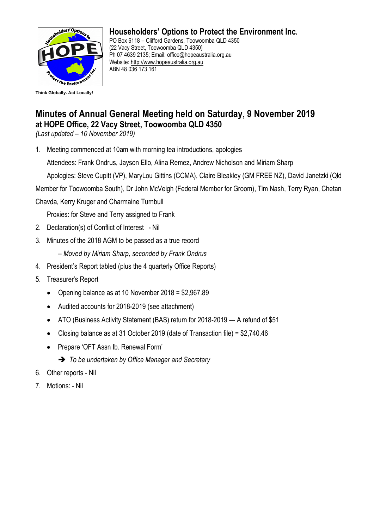

## **Householders' Options to Protect the Environment Inc.**

PO Box 6118 – Clifford Gardens, Toowoomba QLD 4350 (22 Vacy Street, Toowoomba QLD 4350) Ph 07 4639 2135; Email: [office@hopeaustralia.org.au](mailto:office@hopeaustralia.org.au)  Website: [http://www.hopeaustralia.org.au](http://www.hopeaustralia.org.au/) ABN 48 036 173 161

## **Minutes of Annual General Meeting held on Saturday, 9 November 2019 at HOPE Office, 22 Vacy Street, Toowoomba QLD 4350**

*(Last updated – 10 November 2019)*

1. Meeting commenced at 10am with morning tea introductions, apologies

Attendees: Frank Ondrus, Jayson Ello, Alina Remez, Andrew Nicholson and Miriam Sharp

Apologies: Steve Cupitt (VP), MaryLou Gittins (CCMA), Claire Bleakley (GM FREE NZ), David Janetzki (Qld

Member for Toowoomba South), Dr John McVeigh (Federal Member for Groom), Tim Nash, Terry Ryan, Chetan

Chavda, Kerry Kruger and Charmaine Turnbull

Proxies: for Steve and Terry assigned to Frank

- 2. Declaration(s) of Conflict of Interest Nil
- 3. Minutes of the 2018 AGM to be passed as a true record

– *Moved by Miriam Sharp, seconded by Frank Ondrus*

- 4. President's Report tabled (plus the 4 quarterly Office Reports)
- 5. Treasurer's Report
	- Opening balance as at 10 November 2018 = \$2,967.89
	- Audited accounts for 2018-2019 (see attachment)
	- ATO (Business Activity Statement (BAS) return for 2018-2019 --- A refund of \$51
	- Closing balance as at 31 October 2019 (date of Transaction file) = \$2,740.46
	- Prepare 'OFT Assn Ib. Renewal Form'
		- ➔ *To be undertaken by Office Manager and Secretary*
- 6. Other reports Nil
- 7. Motions: Nil